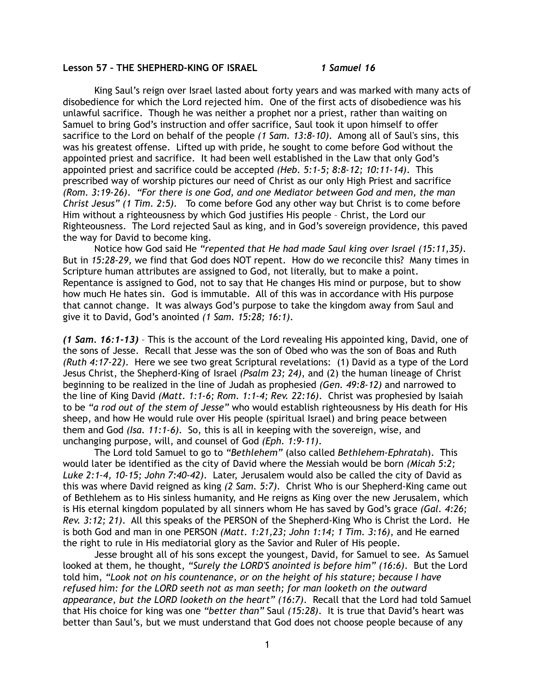## **Lesson 57 – THE SHEPHERD-KING OF ISRAEL** *1 Samuel 16*

King Saul's reign over Israel lasted about forty years and was marked with many acts of disobedience for which the Lord rejected him. One of the first acts of disobedience was his unlawful sacrifice. Though he was neither a prophet nor a priest, rather than waiting on Samuel to bring God's instruction and offer sacrifice, Saul took it upon himself to offer sacrifice to the Lord on behalf of the people *(1 Sam. 13:8-10)*. Among all of Saul's sins, this was his greatest offense. Lifted up with pride, he sought to come before God without the appointed priest and sacrifice. It had been well established in the Law that only God's appointed priest and sacrifice could be accepted *(Heb. 5:1-5; 8:8-12; 10:11-14)*. This prescribed way of worship pictures our need of Christ as our only High Priest and sacrifice *(Rom. 3:19-26)*. *"For there is one God, and one Mediator between God and men, the man Christ Jesus" (1 Tim. 2:5).* To come before God any other way but Christ is to come before Him without a righteousness by which God justifies His people – Christ, the Lord our Righteousness. The Lord rejected Saul as king, and in God's sovereign providence, this paved the way for David to become king.

Notice how God said He *"repented that He had made Saul king over Israel (15:11,35)*. But in *15:28-29,* we find that God does NOT repent. How do we reconcile this? Many times in Scripture human attributes are assigned to God, not literally, but to make a point. Repentance is assigned to God, not to say that He changes His mind or purpose, but to show how much He hates sin. God is immutable. All of this was in accordance with His purpose that cannot change. It was always God's purpose to take the kingdom away from Saul and give it to David, God's anointed *(1 Sam. 15:28; 16:1)*.

*(1 Sam. 16:1-13)* – This is the account of the Lord revealing His appointed king, David, one of the sons of Jesse. Recall that Jesse was the son of Obed who was the son of Boas and Ruth *(Ruth 4:17-22)*. Here we see two great Scriptural revelations: (1) David as a type of the Lord Jesus Christ, the Shepherd-King of Israel *(Psalm 23; 24)*, and (2) the human lineage of Christ beginning to be realized in the line of Judah as prophesied *(Gen. 49:8-12)* and narrowed to the line of King David *(Matt. 1:1-6; Rom. 1:1-4; Rev. 22:16)*. Christ was prophesied by Isaiah to be *"a rod out of the stem of Jesse"* who would establish righteousness by His death for His sheep, and how He would rule over His people (spiritual Israel) and bring peace between them and God *(Isa. 11:1-6)*. So, this is all in keeping with the sovereign, wise, and unchanging purpose, will, and counsel of God *(Eph. 1:9-11)*.

 The Lord told Samuel to go to *"Bethlehem"* (also called *Bethlehem-Ephratah*). This would later be identified as the city of David where the Messiah would be born *(Micah 5:2; Luke 2:1-4, 10-15; John 7:40-42)*. Later, Jerusalem would also be called the city of David as this was where David reigned as king *(2 Sam. 5:7)*. Christ Who is our Shepherd-King came out of Bethlehem as to His sinless humanity, and He reigns as King over the new Jerusalem, which is His eternal kingdom populated by all sinners whom He has saved by God's grace *(Gal. 4:26; Rev. 3:12; 21)*. All this speaks of the PERSON of the Shepherd-King Who is Christ the Lord. He is both God and man in one PERSON *(Matt. 1:21,23; John 1:14; 1 Tim. 3:16)*, and He earned the right to rule in His mediatorial glory as the Savior and Ruler of His people.

 Jesse brought all of his sons except the youngest, David, for Samuel to see. As Samuel looked at them, he thought, *"Surely the LORD'S anointed is before him" (16:6)*. But the Lord told him, *"Look not on his countenance, or on the height of his stature; because I have refused him: for the LORD seeth not as man seeth; for man looketh on the outward appearance, but the LORD looketh on the heart" (16:7)*. Recall that the Lord had told Samuel that His choice for king was one *"better than"* Saul *(15:28)*. It is true that David's heart was better than Saul's, but we must understand that God does not choose people because of any